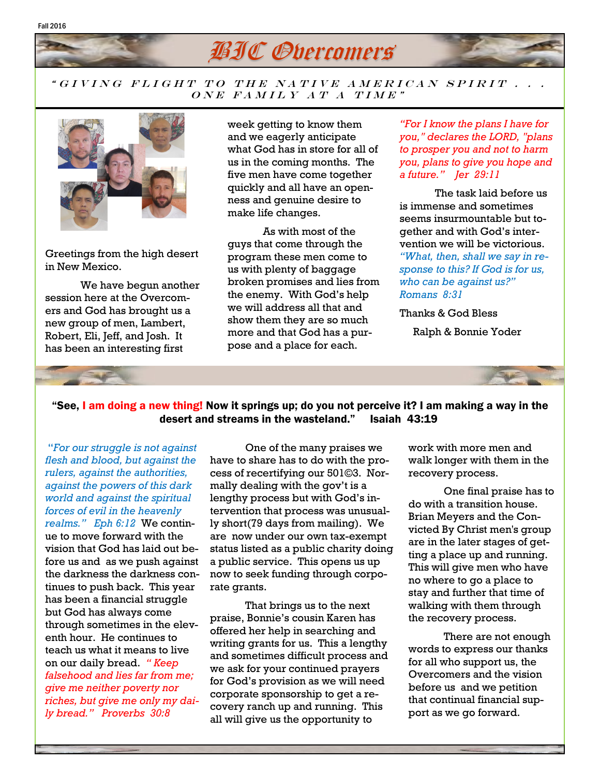## **BIC Overcomers**

## " GIVING FLIGHT TO THE NATIVE AMERICAN SPIRIT . . . ONE FAMILY AT A TIME"



Fall 2016

Greetings from the high desert in New Mexico.

We have begun another session here at the Overcomers and God has brought us a new group of men, Lambert, Robert, Eli, Jeff, and Josh. It has been an interesting first

week getting to know them and we eagerly anticipate what God has in store for all of us in the coming months. The five men have come together quickly and all have an openness and genuine desire to make life changes.

As with most of the guys that come through the program these men come to us with plenty of baggage broken promises and lies from the enemy. With God's help we will address all that and show them they are so much more and that God has a purpose and a place for each.

*"For I know the plans I have for you," declares the LORD, "plans to prosper you and not to harm you, plans to give you hope and a future." Jer 29:11*

The task laid before us is immense and sometimes seems insurmountable but together and with God's intervention we will be victorious. *"What, then, shall we say in response to this? If God is for us, who can be against us?" Romans 8:31*

Thanks & God Bless

Ralph & Bonnie Yoder



"*For our struggle is not against flesh and blood, but against the rulers, against the authorities, against the powers of this dark world and against the spiritual forces of evil in the heavenly realms." Eph 6:12* We continue to move forward with the vision that God has laid out before us and as we push against the darkness the darkness continues to push back. This year has been a financial struggle but God has always come through sometimes in the eleventh hour. He continues to teach us what it means to live on our daily bread. *" Keep falsehood and lies far from me; give me neither poverty nor riches, but give me only my daily bread." Proverbs 30:8*

One of the many praises we have to share has to do with the process of recertifying our 501©3. Normally dealing with the gov't is a lengthy process but with God's intervention that process was unusually short(79 days from mailing). We are now under our own tax-exempt status listed as a public charity doing a public service. This opens us up now to seek funding through corporate grants.

That brings us to the next praise, Bonnie's cousin Karen has offered her help in searching and writing grants for us. This a lengthy and sometimes difficult process and we ask for your continued prayers for God's provision as we will need corporate sponsorship to get a recovery ranch up and running. This all will give us the opportunity to

work with more men and walk longer with them in the recovery process.

One final praise has to do with a transition house. Brian Meyers and the Convicted By Christ men's group are in the later stages of getting a place up and running. This will give men who have no where to go a place to stay and further that time of walking with them through the recovery process.

There are not enough words to express our thanks for all who support us, the Overcomers and the vision before us and we petition that continual financial support as we go forward.